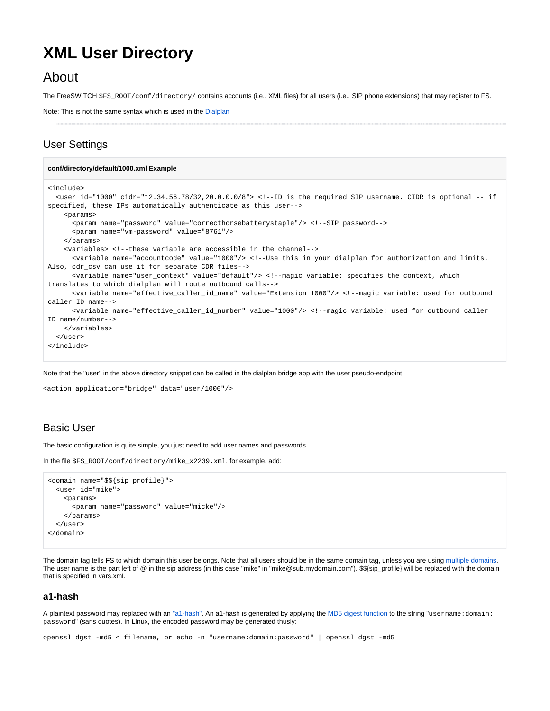# **XML User Directory**

# About

The FreeSWITCH \$FS\_ROOT/conf/directory/ contains accounts (i.e., XML files) for all users (i.e., SIP phone extensions) that may register to FS.

Note: This is not the same syntax which is used in the [Dialplan](https://freeswitch.org/confluence/display/FREESWITCH/Dialplan)

# User Settings

```
conf/directory/default/1000.xml Example
<include>
  <user id="1000" cidr="12.34.56.78/32,20.0.0.0/8"> <!--ID is the required SIP username. CIDR is optional -- if 
specified, these IPs automatically authenticate as this user-->
    <params>
      <param name="password" value="correcthorsebatterystaple"/> <!--SIP password-->
       <param name="vm-password" value="8761"/>
     </params>
    <variables> <!--these variable are accessible in the channel-->
      <variable name="accountcode" value="1000"/> <!--Use this in your dialplan for authorization and limits. 
Also, cdr_csv can use it for separate CDR files-->
       <variable name="user_context" value="default"/> <!--magic variable: specifies the context, which 
translates to which dialplan will route outbound calls-->
       <variable name="effective_caller_id_name" value="Extension 1000"/> <!--magic variable: used for outbound 
caller ID name-->
       <variable name="effective_caller_id_number" value="1000"/> <!--magic variable: used for outbound caller 
ID name/number-->
    </variables>
   </user>
</include>
```
Note that the "user" in the above directory snippet can be called in the dialplan bridge app with the user pseudo-endpoint.

```
<action application="bridge" data="user/1000"/>
```
### Basic User

The basic configuration is quite simple, you just need to add user names and passwords.

In the file \$FS\_ROOT/conf/directory/mike\_x2239.xml, for example, add:

```
<domain name="$${sip_profile}">
  <user id="mike">
     <params>
       <param name="password" value="micke"/>
     </params>
  </user>
</domain>
```
The domain tag tells FS to which domain this user belongs. Note that all users should be in the same domain tag, unless you are using [multiple domains.](https://freeswitch.org/confluence/display/FREESWITCH/Multiple+Companies) The user name is the part left of @ in the sip address (in this case "mike" in "mike@sub.mydomain.com"). \$\${sip\_profile} will be replaced with the domain that is specified in vars.xml.

#### **a1-hash**

A plaintext password may replaced with an ["a1-hash".](http://en.wikipedia.org/wiki/Digest_access_authentication) An a1-hash is generated by applying the [MD5 digest function](http://en.wikipedia.org/wiki/MD5) to the string "username: domain: password" (sans quotes). In Linux, the encoded password may be generated thusly:

openssl dgst -md5 < filename, or echo -n "username:domain:password" | openssl dgst -md5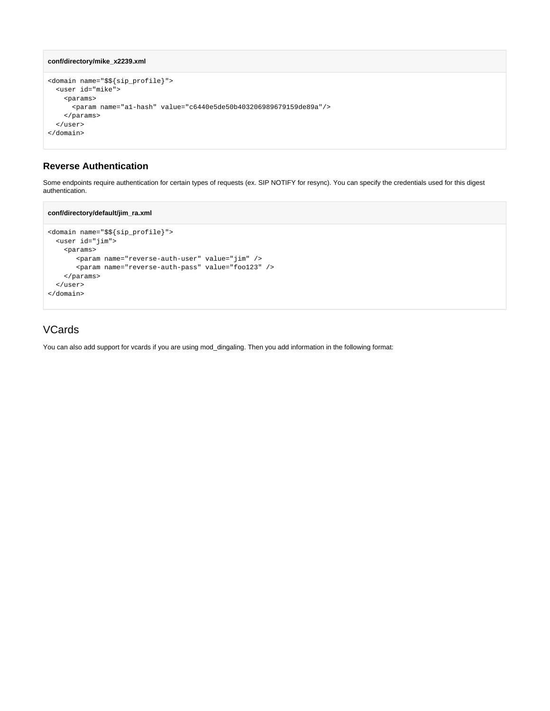```
conf/directory/mike_x2239.xml
```

```
<domain name="$${sip_profile}">
  <user id="mike">
    <params>
      <param name="a1-hash" value="c6440e5de50b403206989679159de89a"/>
    </params>
  </user>
</domain>
```
#### **Reverse Authentication**

Some endpoints require authentication for certain types of requests (ex. SIP NOTIFY for resync). You can specify the credentials used for this digest authentication.

#### **conf/directory/default/jim\_ra.xml**

```
<domain name="$${sip_profile}">
  <user id="jim">
    <params>
       <param name="reverse-auth-user" value="jim" />
       <param name="reverse-auth-pass" value="foo123" />
    </params>
  </user>
</domain>
```
## **VCards**

You can also add support for vcards if you are using mod\_dingaling. Then you add information in the following format: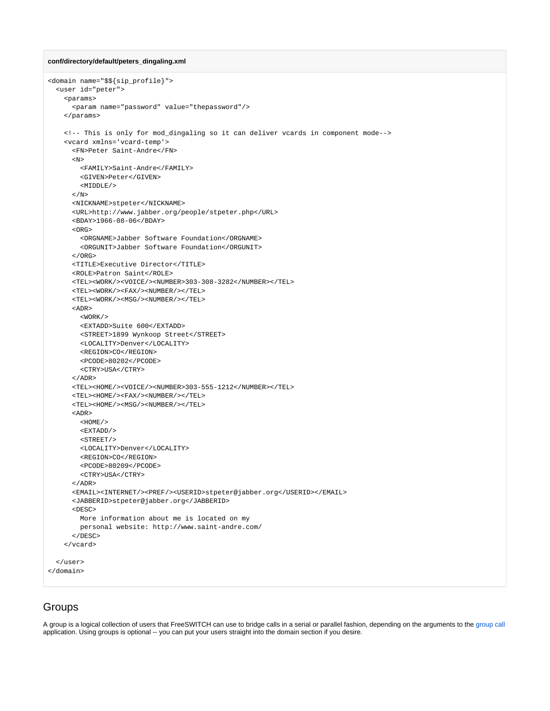#### **conf/directory/default/peters\_dingaling.xml**

```
<domain name="$${sip_profile}">
   <user id="peter">
     <params>
      <param name="password" value="thepassword"/>
     </params>
     <!-- This is only for mod_dingaling so it can deliver vcards in component mode-->
     <vcard xmlns='vcard-temp'>
       <FN>Peter Saint-Andre</FN>
      \langle N \rangle <FAMILY>Saint-Andre</FAMILY>
         <GIVEN>Peter</GIVEN>
        <MIDDLE/>\langle /N> <NICKNAME>stpeter</NICKNAME>
       <URL>http://www.jabber.org/people/stpeter.php</URL>
       <BDAY>1966-08-06</BDAY>
       <ORG>
         <ORGNAME>Jabber Software Foundation</ORGNAME>
         <ORGUNIT>Jabber Software Foundation</ORGUNIT>
      </ORG>
       <TITLE>Executive Director</TITLE>
       <ROLE>Patron Saint</ROLE>
       <TEL><WORK/><VOICE/><NUMBER>303-308-3282</NUMBER></TEL>
       <TEL><WORK/><FAX/><NUMBER/></TEL>
       <TEL><WORK/><MSG/><NUMBER/></TEL>
       <ADR>
        <WORK / >
         <EXTADD>Suite 600</EXTADD>
         <STREET>1899 Wynkoop Street</STREET>
         <LOCALITY>Denver</LOCALITY>
         <REGION>CO</REGION>
         <PCODE>80202</PCODE>
         <CTRY>USA</CTRY>
      \epsilon/ADR> <TEL><HOME/><VOICE/><NUMBER>303-555-1212</NUMBER></TEL>
       <TEL><HOME/><FAX/><NUMBER/></TEL>
       <TEL><HOME/><MSG/><NUMBER/></TEL>
      <ADR <HOME/>
        <EXTADD/>
        \epsilonSTREET/> <LOCALITY>Denver</LOCALITY>
         <REGION>CO</REGION>
         <PCODE>80209</PCODE>
         <CTRY>USA</CTRY>
      </ADR>
      <EMAIL><INTERNET/><PREF/>>USERID>stpeter@jabber.org</USERID></EMAIL>
       <JABBERID>stpeter@jabber.org</JABBERID>
       <DESC>
         More information about me is located on my
         personal website: http://www.saint-andre.com/
       </DESC>
     </vcard>
  </user>
</domain>
```
### Groups

A group is a logical collection of users that FreeSWITCH can use to bridge calls in a serial or parallel fashion, depending on the arguments to the [group call](https://freeswitch.org/confluence/display/FREESWITCH/mod_dptools:+bridge#mod_dptools:bridge-4.3group) application. Using groups is optional -- you can put your users straight into the domain section if you desire.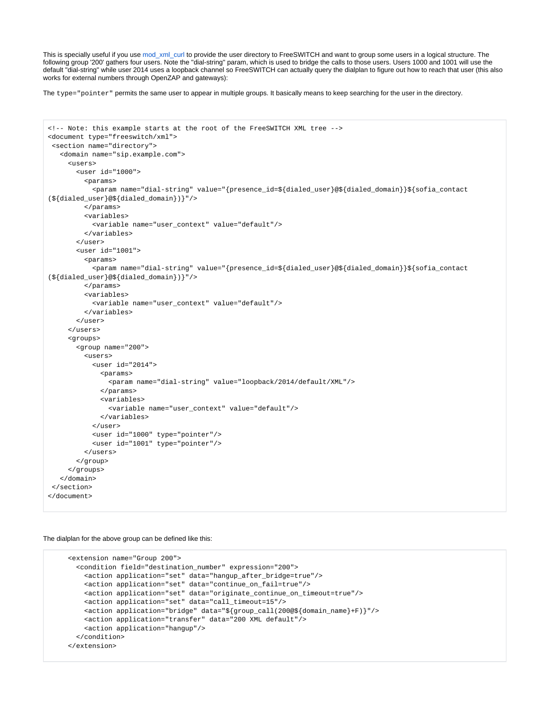This is specially useful if you use [mod\\_xml\\_curl](https://freeswitch.org/confluence/display/FREESWITCH/mod_xml_curl) to provide the user directory to FreeSWITCH and want to group some users in a logical structure. The following group '200' gathers four users. Note the "dial-string" param, which is used to bridge the calls to those users. Users 1000 and 1001 will use the default "dial-string" while user 2014 uses a loopback channel so FreeSWITCH can actually query the dialplan to figure out how to reach that user (this also works for external numbers through OpenZAP and gateways):

The type="pointer" permits the same user to appear in multiple groups. It basically means to keep searching for the user in the directory.

```
<!-- Note: this example starts at the root of the FreeSWITCH XML tree -->
<document type="freeswitch/xml">
 <section name="directory">
   <domain name="sip.example.com">
      <users>
        <user id="1000">
          <params>
            <param name="dial-string" value="{presence_id=${dialed_user}@${dialed_domain}}${sofia_contact
(${dialed_user}@${dialed_domain})}"/>
         \langle/params>
          <variables>
            <variable name="user_context" value="default"/>
          </variables>
        </user>
        <user id="1001">
          <params>
            <param name="dial-string" value="{presence_id=${dialed_user}@${dialed_domain}}${sofia_contact
(${dialed_user}@${dialed_domain})}"/>
          </params>
          <variables>
            <variable name="user_context" value="default"/>
          </variables>
       \langleluser>
      </users>
      <groups>
        <group name="200">
          <users>
            <user id="2014">
              <params>
                <param name="dial-string" value="loopback/2014/default/XML"/>
              </params>
              <variables>
                <variable name="user_context" value="default"/>
              </variables>
            </user>
            <user id="1000" type="pointer"/>
            <user id="1001" type="pointer"/>
          </users>
        </group>
      </groups>
    </domain>
 </section>
</document>
```
The dialplan for the above group can be defined like this:

```
 <extension name="Group 200">
  <condition field="destination_number" expression="200">
    <action application="set" data="hangup_after_bridge=true"/>
     <action application="set" data="continue_on_fail=true"/>
    <action application="set" data="originate_continue_on_timeout=true"/>
     <action application="set" data="call_timeout=15"/>
     <action application="bridge" data="${group_call(200@${domain_name}+F)}"/>
     <action application="transfer" data="200 XML default"/>
     <action application="hangup"/>
   </condition>
 </extension>
```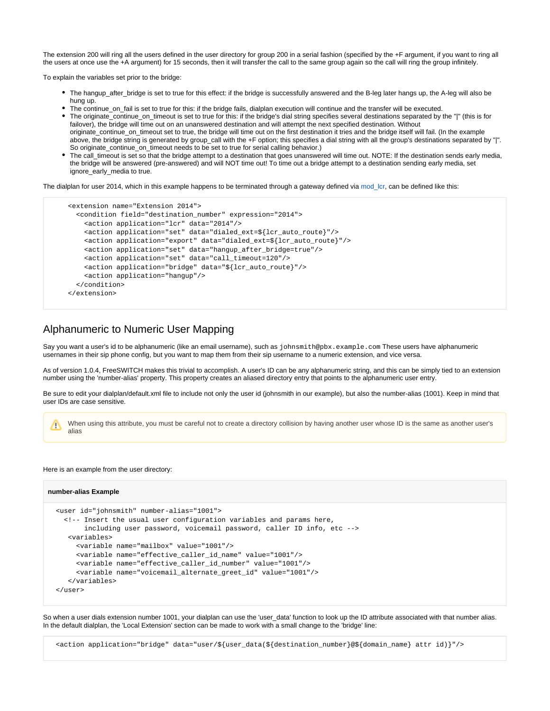The extension 200 will ring all the users defined in the user directory for group 200 in a serial fashion (specified by the +F argument, if you want to ring all the users at once use the +A argument) for 15 seconds, then it will transfer the call to the same group again so the call will ring the group infinitely.

To explain the variables set prior to the bridge:

- The hangup\_after\_bridge is set to true for this effect: if the bridge is successfully answered and the B-leg later hangs up, the A-leg will also be hung up.
- The continue\_on\_fail is set to true for this: if the bridge fails, dialplan execution will continue and the transfer will be executed.
- The originate continue on timeout is set to true for this: if the bridge's dial string specifies several destinations separated by the "|" (this is for failover), the bridge will time out on an unanswered destination and will attempt the next specified destination. Without originate\_continue\_on\_timeout set to true, the bridge will time out on the first destination it tries and the bridge itself will fail. (In the example above, the bridge string is generated by group call with the +F option; this specifies a dial string with all the group's destinations separated by "|". So originate\_continue\_on\_timeout needs to be set to true for serial calling behavior.)
- The call\_timeout is set so that the bridge attempt to a destination that goes unanswered will time out. NOTE: If the destination sends early media, the bridge will be answered (pre-answered) and will NOT time out! To time out a bridge attempt to a destination sending early media, set ignore early media to true.

The dialplan for user 2014, which in this example happens to be terminated through a gateway defined via [mod\\_lcr,](https://wiki.freeswitch.org/wiki/Mod_lcr) can be defined like this:

```
 <extension name="Extension 2014">
  <condition field="destination_number" expression="2014">
     <action application="lcr" data="2014"/>
    <action application="set" data="dialed_ext=${lcr_auto_route}"/>
    <action application="export" data="dialed_ext=${lcr_auto_route}"/>
    <action application="set" data="hangup_after_bridge=true"/>
    <action application="set" data="call_timeout=120"/>
    <action application="bridge" data="${lcr_auto_route}"/>
    <action application="hangup"/>
   </condition>
 </extension>
```
#### Alphanumeric to Numeric User Mapping

Say you want a user's id to be alphanumeric (like an email username), such as johnsmith@pbx.example.com These users have alphanumeric usernames in their sip phone config, but you want to map them from their sip username to a numeric extension, and vice versa.

As of version 1.0.4, FreeSWITCH makes this trivial to accomplish. A user's ID can be any alphanumeric string, and this can be simply tied to an extension number using the 'number-alias' property. This property creates an aliased directory entry that points to the alphanumeric user entry.

Be sure to edit your dialplan/default.xml file to include not only the user id (johnsmith in our example), but also the number-alias (1001). Keep in mind that user IDs are case sensitive.

When using this attribute, you must be careful not to create a directory collision by having another user whose ID is the same as another user's Δ alias

#### Here is an example from the user directory:

#### **number-alias Example**

```
 <user id="johnsmith" number-alias="1001">
 \leq -- Insert the usual user configuration variables and params here,
        including user password, voicemail password, caller ID info, etc -->
   <variables>
     <variable name="mailbox" value="1001"/>
      <variable name="effective_caller_id_name" value="1001"/>
      <variable name="effective_caller_id_number" value="1001"/>
      <variable name="voicemail_alternate_greet_id" value="1001"/>
   </variables>
 </user>
```
So when a user dials extension number 1001, your dialplan can use the 'user\_data' function to look up the ID attribute associated with that number alias. In the default dialplan, the 'Local Extension' section can be made to work with a small change to the 'bridge' line:

<action application="bridge" data="user/\${user\_data(\${destination\_number}@\${domain\_name} attr id)}"/>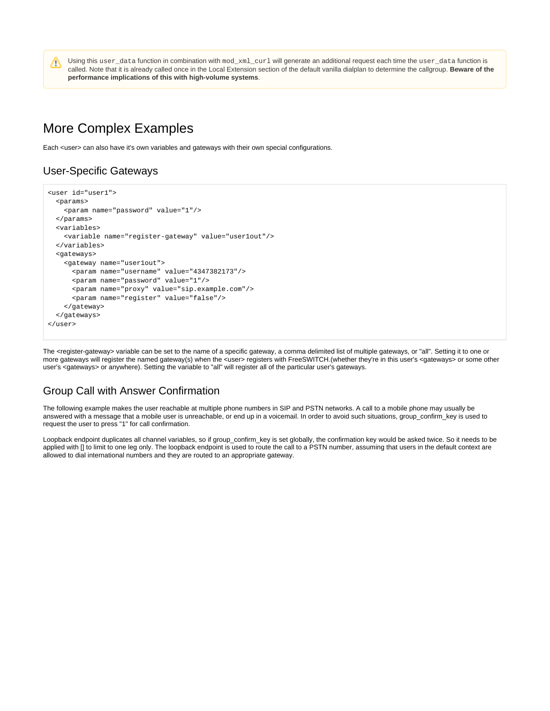Using this user\_data function in combination with mod\_xml\_curl will generate an additional request each time the user\_data function is called. Note that it is already called once in the Local Extension section of the default vanilla dialplan to determine the callgroup. **Beware of the performance implications of this with high-volume systems**.

# More Complex Examples

Each <user> can also have it's own variables and gateways with their own special configurations.

### User-Specific Gateways

Λ

```
<user id="user1">
   <params>
     <param name="password" value="1"/>
  </params>
   <variables>
     <variable name="register-gateway" value="user1out"/>
   </variables>
   <gateways>
     <gateway name="user1out">
       <param name="username" value="4347382173"/>
       <param name="password" value="1"/>
       <param name="proxy" value="sip.example.com"/>
       <param name="register" value="false"/>
     </gateway>
   </gateways>
</user>
```
The <register-gateway> variable can be set to the name of a specific gateway, a comma delimited list of multiple gateways, or "all". Setting it to one or more gateways will register the named gateway(s) when the <user> registers with FreeSWITCH.(whether they're in this user's <gateways> or some other user's <gateways> or anywhere). Setting the variable to "all" will register all of the particular user's gateways.

### Group Call with Answer Confirmation

The following example makes the user reachable at multiple phone numbers in SIP and PSTN networks. A call to a mobile phone may usually be answered with a message that a mobile user is unreachable, or end up in a voicemail. In order to avoid such situations, group\_confirm\_key is used to request the user to press "1" for call confirmation.

Loopback endpoint duplicates all channel variables, so if group\_confirm\_key is set globally, the confirmation key would be asked twice. So it needs to be applied with [] to limit to one leg only. The loopback endpoint is used to route the call to a PSTN number, assuming that users in the default context are allowed to dial international numbers and they are routed to an appropriate gateway.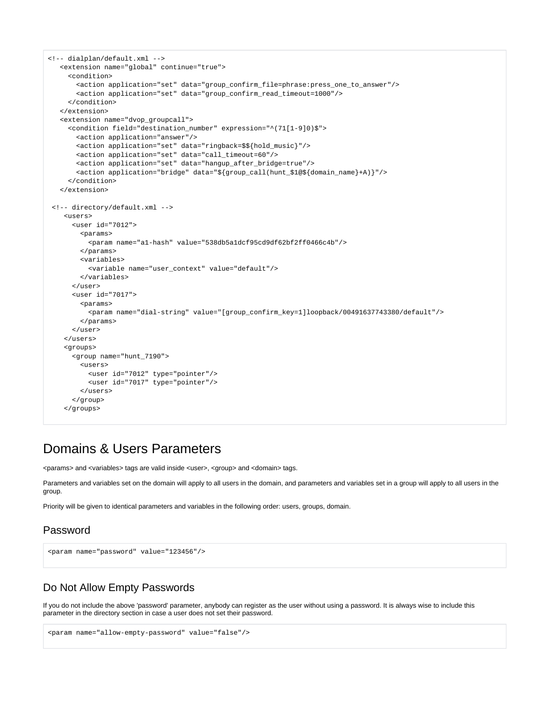```
<!-- dialplan/default.xml -->
   <extension name="global" continue="true">
     <condition>
        <action application="set" data="group_confirm_file=phrase:press_one_to_answer"/>
        <action application="set" data="group_confirm_read_timeout=1000"/>
      </condition>
   </extension>
   <extension name="dvop_groupcall">
      <condition field="destination_number" expression="^(71[1-9]0)$">
        <action application="answer"/>
        <action application="set" data="ringback=$${hold_music}"/> 
        <action application="set" data="call_timeout=60"/>
        <action application="set" data="hangup_after_bridge=true"/>
        <action application="bridge" data="${group_call(hunt_$1@${domain_name}+A)}"/>
      </condition>
    </extension>
 <!-- directory/default.xml -->
     <users>
       <user id="7012">
        <params>
           <param name="a1-hash" value="538db5a1dcf95cd9df62bf2ff0466c4b"/>
         </params>
         <variables>
          <variable name="user_context" value="default"/>
         </variables>
       </user>
      <user id="7017">
         <params>
           <param name="dial-string" value="[group_confirm_key=1]loopback/00491637743380/default"/>
         </params>
      </user>
     </users>
     <groups>
      <group name="hunt_7190">
         <users>
           <user id="7012" type="pointer"/>
           <user id="7017" type="pointer"/>
         </users>
      </group>
     </groups>
```
# Domains & Users Parameters

<params> and <variables> tags are valid inside <user>, <group> and <domain> tags.

Parameters and variables set on the domain will apply to all users in the domain, and parameters and variables set in a group will apply to all users in the group.

Priority will be given to identical parameters and variables in the following order: users, groups, domain.

#### Password

```
<param name="password" value="123456"/>
```
#### Do Not Allow Empty Passwords

If you do not include the above 'password' parameter, anybody can register as the user without using a password. It is always wise to include this parameter in the directory section in case a user does not set their password.

```
<param name="allow-empty-password" value="false"/>
```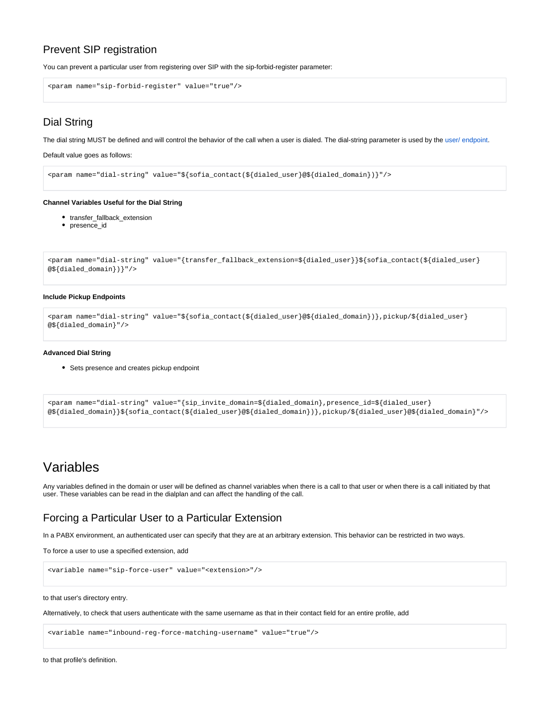### Prevent SIP registration

You can prevent a particular user from registering over SIP with the sip-forbid-register parameter:

```
<param name="sip-forbid-register" value="true"/>
```
# Dial String

The dial string MUST be defined and will control the behavior of the call when a user is dialed. The dial-string parameter is used by the [user/ endpoint](https://freeswitch.org/confluence/display/FREESWITCH/Endpoints).

Default value goes as follows:

<param name="dial-string" value="\${sofia\_contact(\${dialed\_user}@\${dialed\_domain})}"/>

#### **Channel Variables Useful for the Dial String**

- transfer\_fallback\_extension
- presence\_id

```
<param name="dial-string" value="{transfer_fallback_extension=${dialed_user}}${sofia_contact(${dialed_user}
@${dialed_domain})}"/>
```
#### **Include Pickup Endpoints**

```
<param name="dial-string" value="${sofia_contact(${dialed_user}@${dialed_domain})},pickup/${dialed_user}
@${dialed_domain}"/>
```
#### **Advanced Dial String**

• Sets presence and creates pickup endpoint

```
<param name="dial-string" value="{sip_invite_domain=${dialed_domain},presence_id=${dialed_user}
@${dialed_domain}}${sofia_contact(${dialed_user}@${dialed_domain})},pickup/${dialed_user}@${dialed_domain}"/>
```
# Variables

Any variables defined in the domain or user will be defined as channel variables when there is a call to that user or when there is a call initiated by that user. These variables can be read in the dialplan and can affect the handling of the call.

### Forcing a Particular User to a Particular Extension

In a PABX environment, an authenticated user can specify that they are at an arbitrary extension. This behavior can be restricted in two ways.

To force a user to use a specified extension, add

<variable name="sip-force-user" value="<extension>"/>

to that user's directory entry.

Alternatively, to check that users authenticate with the same username as that in their contact field for an entire profile, add

<variable name="inbound-reg-force-matching-username" value="true"/>

to that profile's definition.